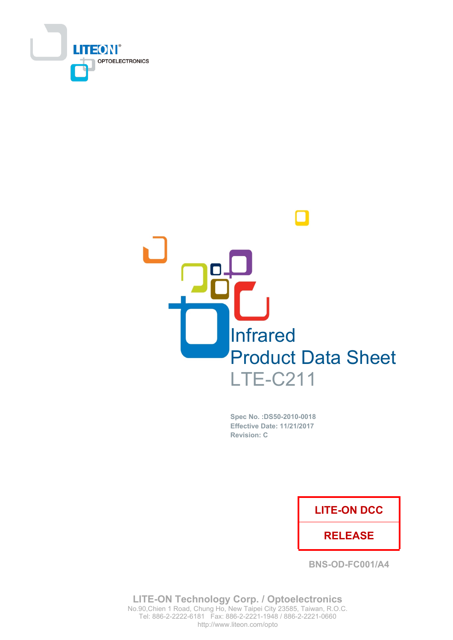



Spec No. : DS50-2010-0018 **Effective Date: 11/21/2017 Revision: C** 

### **LITE-ON DCC**

### **RELEASE**

BNS-OD-FC001/A4

LITE-ON Technology Corp. / Optoelectronics No.90, Chien 1 Road, Chung Ho, New Taipei City 23585, Taiwan, R.O.C. http://www.liteon.com/opto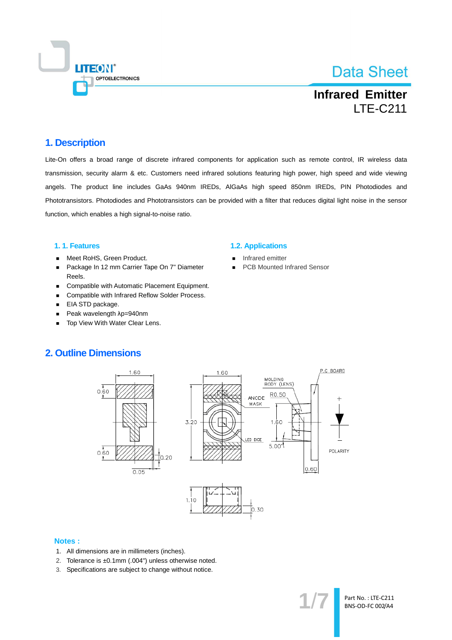

**Infrared Emitter LTE-C211** 

### 1. Description

Lite-On offers a broad range of discrete infrared components for application such as remote control, IR wireless data transmission, security alarm & etc. Customers need infrared solutions featuring high power, high speed and wide viewing angels. The product line includes GaAs 940nm IREDs, AIGaAs high speed 850nm IREDs, PIN Photodiodes and Phototransistors. Photodiodes and Phototransistors can be provided with a filter that reduces digital light noise in the sensor function, which enables a high signal-to-noise ratio.

#### 1.1. Features

- Meet RoHS, Green Product.  $\blacksquare$
- Package In 12 mm Carrier Tape On 7" Diameter  $\blacksquare$ Reels.
- Compatible with Automatic Placement Equipment.  $\blacksquare$
- Compatible with Infrared Reflow Solder Process.  $\blacksquare$
- EIA STD package.  $\blacksquare$
- Peak wavelength  $\lambda$ p=940nm  $\blacksquare$
- Top View With Water Clear Lens.  $\blacksquare$

#### **1.2. Applications**

- Infrared emitter
- **PCB Mounted Infrared Sensor**

### **2. Outline Dimensions**



#### **Notes:**

- 1. All dimensions are in millimeters (inches).
- 2. Tolerance is ±0.1mm (.004") unless otherwise noted.
- 3. Specifications are subject to change without notice.

Part No.: LTE-C211 **BNS-OD-FC 002/A4**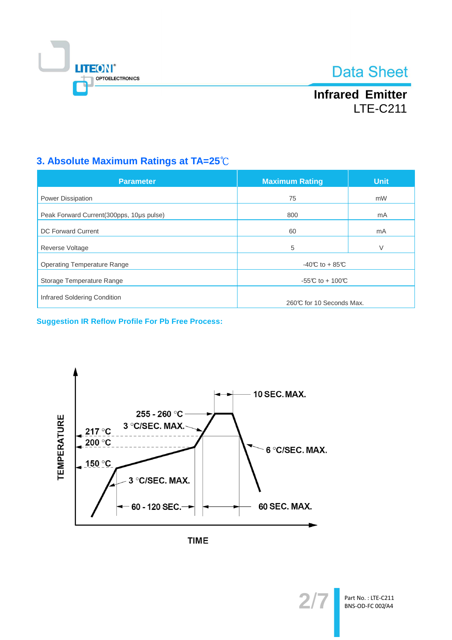

**Infrared Emitter LTE-C211** 

## 3. Absolute Maximum Ratings at TA=25°C

| <b>Parameter</b>                          | <b>Maximum Rating</b>    | <b>Unit</b> |  |
|-------------------------------------------|--------------------------|-------------|--|
| <b>Power Dissipation</b>                  | 75                       | mW          |  |
| Peak Forward Current (300pps, 10us pulse) | 800                      | mA          |  |
| <b>DC Forward Current</b>                 | 60                       | mA          |  |
| Reverse Voltage                           | 5                        | V           |  |
| <b>Operating Temperature Range</b>        | $-40C$ to + 85°C         |             |  |
| Storage Temperature Range                 | -55°C to + 100°C         |             |  |
| Infrared Soldering Condition              | 260℃ for 10 Seconds Max. |             |  |

**Suggestion IR Reflow Profile For Pb Free Process:** 



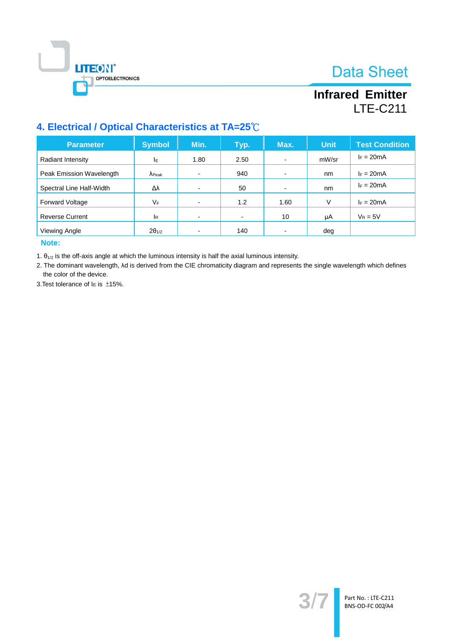



## **Infrared Emitter LTE-C211**

## 4. Electrical / Optical Characteristics at TA=25°C

| <b>Parameter</b>         | <b>Symbol</b>   | Min.                     | Typ.           | Max.                     | <b>Unit</b> | <b>Test Condition</b> |
|--------------------------|-----------------|--------------------------|----------------|--------------------------|-------------|-----------------------|
| Radiant Intensity        | ΙE              | 1.80                     | 2.50           | $\overline{\phantom{0}}$ | mW/sr       | $I_F = 20mA$          |
| Peak Emission Wavelength | $\Lambda$ Peak  |                          | 940            | $\overline{\phantom{0}}$ | nm          | $I_F = 20mA$          |
| Spectral Line Half-Width | Δλ              | $\overline{\phantom{0}}$ | 50             | $\overline{\phantom{0}}$ | nm          | $I_F = 20mA$          |
| <b>Forward Voltage</b>   | VF              |                          | 1.2            | 1.60                     | V           | $I_F = 20mA$          |
| <b>Reverse Current</b>   | <sup>I</sup> R  |                          | $\blacksquare$ | 10                       | μA          | $V_R = 5V$            |
| Viewing Angle            | $2\theta_{1/2}$ |                          | 140            |                          | deg         |                       |

Note:

1.  $\theta_{1/2}$  is the off-axis angle at which the luminous intensity is half the axial luminous intensity.

2. The dominant wavelength, Ad is derived from the CIE chromaticity diagram and represents the single wavelength which defines the color of the device.

3. Test tolerance of  $I\in$  is  $\pm 15\%$ .

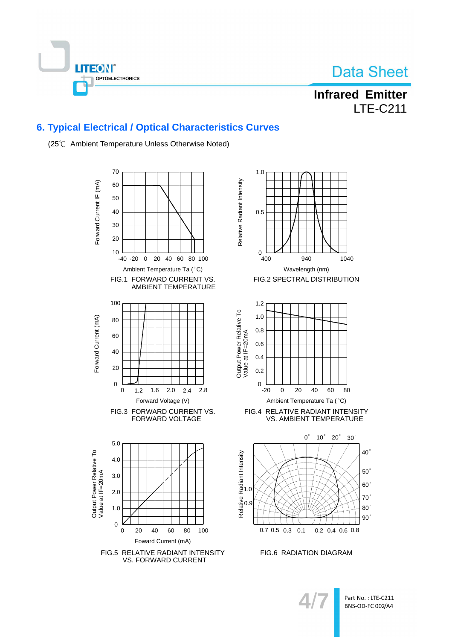



**Infrared Emitter LTE-C211** 

### **6. Typical Electrical / Optical Characteristics Curves**



(25°C Ambient Temperature Unless Otherwise Noted)





FIG.6 RADIATION DIAGRAM

Part No.: LTE-C211 **BNS-OD-FC 002/A4**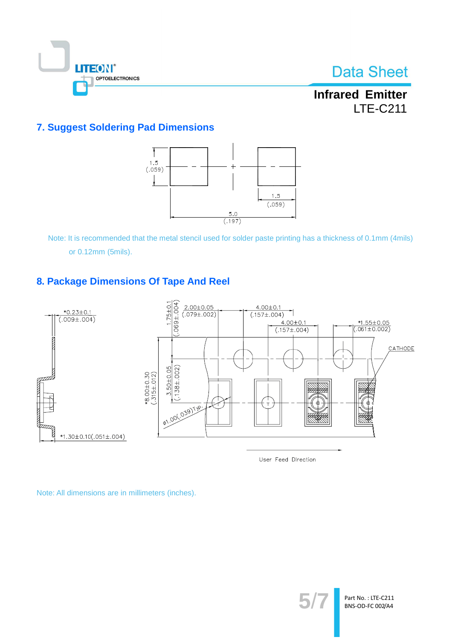

**Infrared Emitter LTE-C211** 

## **7. Suggest Soldering Pad Dimensions**



Note: It is recommended that the metal stencil used for solder paste printing has a thickness of 0.1mm (4mils) or 0.12mm (5mils).

### 8. Package Dimensions Of Tape And Reel



User Feed Direction

Note: All dimensions are in millimeters (inches).

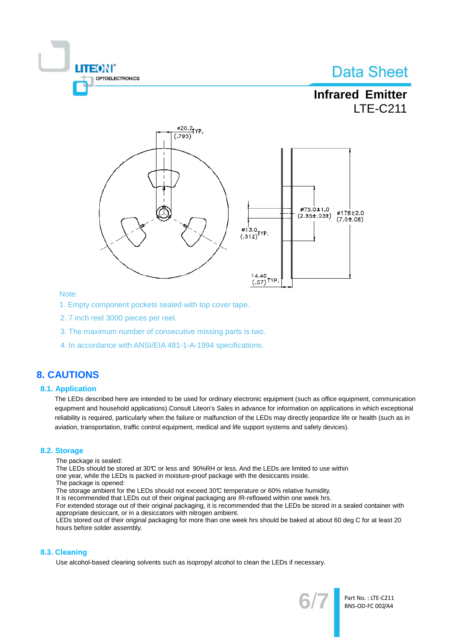



#### Note:

- 1. Empty component pockets sealed with top cover tape.
- 2.7 inch reel 3000 pieces per reel.
- 3. The maximum number of consecutive missing parts is two.
- 4. In accordance with ANSI/EIA 481-1-A-1994 specifications.

### **8. CAUTIONS**

#### **8.1. Application**

The LEDs described here are intended to be used for ordinary electronic equipment (such as office equipment, communication equipment and household applications). Consult Liteon's Sales in advance for information on applications in which exceptional reliability is required, particularly when the failure or malfunction of the LEDs may directly jeopardize life or health (such as in aviation, transportation, traffic control equipment, medical and life support systems and safety devices).

#### 8.2. Storage

- The package is sealed:
- The LEDs should be stored at 30°C or less and 90%RH or less. And the LEDs are limited to use within
- one year, while the LEDs is packed in moisture-proof package with the desiccants inside.
- The package is opened:
- The storage ambient for the LEDs should not exceed 30°C temperature or 60% relative humidity.
- It is recommended that LEDs out of their original packaging are IR-reflowed within one week hrs.
- For extended storage out of their original packaging, it is recommended that the LEDs be stored in a sealed container with appropriate desiccant, or in a desiccators with nitrogen ambient.
- LEDs stored out of their original packaging for more than one week hrs should be baked at about 60 deg C for at least 20 hours before solder assembly.

#### 8.3. Cleaning

Use alcohol-based cleaning solvents such as isopropyl alcohol to clean the LEDs if necessary.